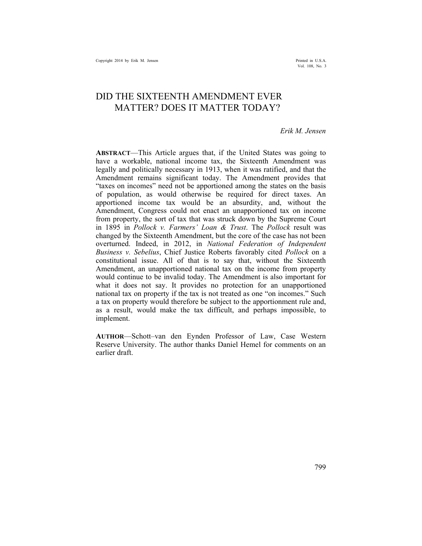Vol. 108, No. 3

# DID THE SIXTEENTH AMENDMENT EVER MATTER? DOES IT MATTER TODAY?

## *Erik M. Jensen*

**ABSTRACT**—This Article argues that, if the United States was going to have a workable, national income tax, the Sixteenth Amendment was legally and politically necessary in 1913, when it was ratified, and that the Amendment remains significant today. The Amendment provides that "taxes on incomes" need not be apportioned among the states on the basis of population, as would otherwise be required for direct taxes. An apportioned income tax would be an absurdity, and, without the Amendment, Congress could not enact an unapportioned tax on income from property, the sort of tax that was struck down by the Supreme Court in 1895 in *Pollock v. Farmers' Loan & Trust*. The *Pollock* result was changed by the Sixteenth Amendment, but the core of the case has not been overturned. Indeed, in 2012, in *National Federation of Independent Business v. Sebelius*, Chief Justice Roberts favorably cited *Pollock* on a constitutional issue. All of that is to say that, without the Sixteenth Amendment, an unapportioned national tax on the income from property would continue to be invalid today. The Amendment is also important for what it does not say. It provides no protection for an unapportioned national tax on property if the tax is not treated as one "on incomes." Such a tax on property would therefore be subject to the apportionment rule and, as a result, would make the tax difficult, and perhaps impossible, to implement.

**AUTHOR**—Schott–van den Eynden Professor of Law, Case Western Reserve University. The author thanks Daniel Hemel for comments on an earlier draft.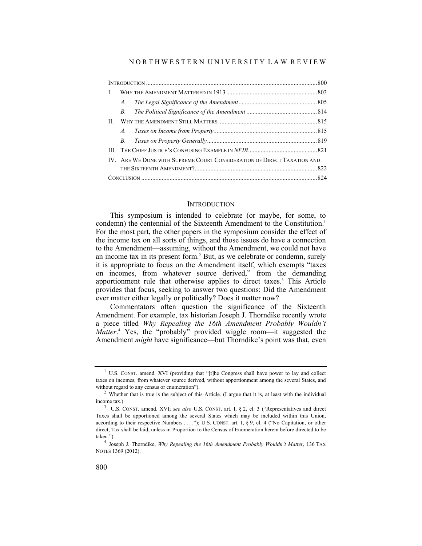### N O R T H W E S T E R N U N I V E R S I T Y L A W R E V I E W

| $\mathbf{I}$ . |             |                                                                         |  |
|----------------|-------------|-------------------------------------------------------------------------|--|
|                | $A_{\cdot}$ |                                                                         |  |
|                | $B_{\cdot}$ |                                                                         |  |
| H.             |             |                                                                         |  |
|                | $A_{\cdot}$ |                                                                         |  |
|                |             |                                                                         |  |
|                |             |                                                                         |  |
|                |             | IV. ARE WE DONE WITH SUPREME COURT CONSIDERATION OF DIRECT TAXATION AND |  |
|                |             |                                                                         |  |
|                |             |                                                                         |  |

## **INTRODUCTION**

This symposium is intended to celebrate (or maybe, for some, to condemn) the centennial of the Sixteenth Amendment to the Constitution.<sup>1</sup> For the most part, the other papers in the symposium consider the effect of the income tax on all sorts of things, and those issues do have a connection to the Amendment—assuming, without the Amendment, we could not have an income tax in its present form.<sup>2</sup> But, as we celebrate or condemn, surely it is appropriate to focus on the Amendment itself, which exempts "taxes on incomes, from whatever source derived," from the demanding apportionment rule that otherwise applies to direct taxes.<sup>3</sup> This Article provides that focus, seeking to answer two questions: Did the Amendment ever matter either legally or politically? Does it matter now?

Commentators often question the significance of the Sixteenth Amendment. For example, tax historian Joseph J. Thorndike recently wrote a piece titled *Why Repealing the 16th Amendment Probably Wouldn't*  Matter.<sup>4</sup> Yes, the "probably" provided wiggle room—it suggested the Amendment *might* have significance—but Thorndike's point was that, even

<sup>&</sup>lt;sup>1</sup> U.S. CONST. amend. XVI (providing that "[t]he Congress shall have power to lay and collect taxes on incomes, from whatever source derived, without apportionment among the several States, and without regard to any census or enumeration").<br><sup>2</sup> Whether that is true is the subject of this Article. (I argue that it is, at least with the individual

income tax.) 3 U.S. CONST. amend. XVI; *see also* U.S. CONST. art. I, § 2, cl. 3 ("Representatives and direct

Taxes shall be apportioned among the several States which may be included within this Union, according to their respective Numbers . . . ."); U.S. CONST. art. I, § 9, cl. 4 ("No Capitation, or other direct, Tax shall be laid, unless in Proportion to the Census of Enumeration herein before directed to be taken.").

<sup>4</sup> Joseph J. Thorndike, *Why Repealing the 16th Amendment Probably Wouldn't Matter*, 136 TAX NOTES 1369 (2012).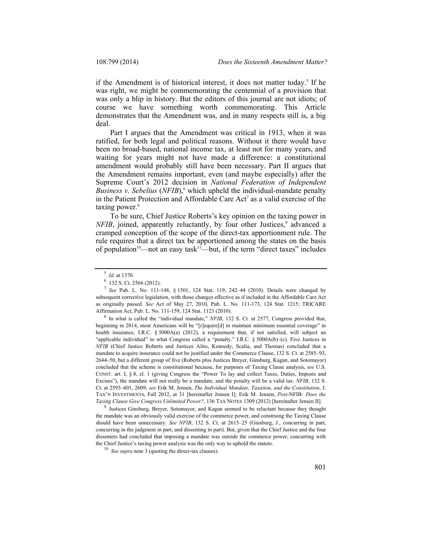if the Amendment is of historical interest, it does not matter today.<sup>5</sup> If he was right, we might be commemorating the centennial of a provision that was only a blip in history. But the editors of this journal are not idiots; of course we have something worth commemorating. This Article demonstrates that the Amendment was, and in many respects still is, a big deal.

Part I argues that the Amendment was critical in 1913, when it was ratified, for both legal and political reasons. Without it there would have been no broad-based, national income tax, at least not for many years, and waiting for years might not have made a difference: a constitutional amendment would probably still have been necessary. Part II argues that the Amendment remains important, even (and maybe especially) after the Supreme Court's 2012 decision in *National Federation of Independent Business v. Sebelius* (*NFIB*),<sup>6</sup> which upheld the individual-mandate penalty in the Patient Protection and Affordable Care  $Act^7$  as a valid exercise of the taxing power.<sup>8</sup>

To be sure, Chief Justice Roberts's key opinion on the taxing power in *NFIB*, joined, apparently reluctantly, by four other Justices,<sup>9</sup> advanced a cramped conception of the scope of the direct-tax apportionment rule. The rule requires that a direct tax be apportioned among the states on the basis of population<sup>10</sup>—not an easy task<sup>11</sup>—but, if the term "direct taxes" includes

beginning in 2014, most Americans will be "[r]equire[d] to maintain minimum essential coverage" in health insurance, I.R.C. § 5000A(a) (2012), a requirement that, if not satisfied, will subject an "applicable individual" to what Congress called a "penalty." I.R.C. § 5000A(b)–(c). Five Justices in *NFIB* (Chief Justice Roberts and Justices Alito, Kennedy, Scalia, and Thomas) concluded that a mandate to acquire insurance could not be justified under the Commerce Clause, 132 S. Ct. at 2585–93, 2644–50, but a different group of five (Roberts plus Justices Breyer, Ginsburg, Kagan, and Sotomayor) concluded that the scheme is constitutional because, for purposes of Taxing Clause analysis, *see* U.S. CONST. art. I, § 8, cl. 1 (giving Congress the "Power To lay and collect Taxes, Duties, Imposts and Excises"), the mandate will not really be a mandate, and the penalty will be a valid tax. *NFIB*, 132 S. Ct. at 2593–601, 2609; *see* Erik M. Jensen, *The Individual Mandate, Taxation, and the Constitution*, J. TAX'N INVESTMENTS, Fall 2012, at 31 [hereinafter Jensen I]; Erik M. Jensen, *Post-*NFIB*: Does the Taxing Clause Give Congress Unlimited Power?*, 136 TAX NOTES 1309 (2012) [hereinafter Jensen II].

Justices Ginsburg, Breyer, Sotomayor, and Kagan seemed to be reluctant because they thought the mandate was an obviously valid exercise of the commerce power, and construing the Taxing Clause should have been unnecessary. *See NFIB*, 132 S. Ct. at 2615–25 (Ginsburg, J., concurring in part, concurring in the judgment in part, and dissenting in part). But, given that the Chief Justice and the four dissenters had concluded that imposing a mandate was outside the commerce power, concurring with the Chief Justice's taxing power analysis was the only way to uphold the statute.

<sup>&</sup>lt;sup>5</sup> *Id.* at 1370.<br><sup>6</sup> 132 S. Ct. 2566 (2012).

<sup>7</sup> *See* Pub. L. No. 111-148, § 1501, 124 Stat. 119, 242–44 (2010). Details were changed by subsequent corrective legislation, with those changes effective as if included in the Affordable Care Act as originally passed. *See* Act of May 27, 2010, Pub. L. No. 111-173, 124 Stat. 1215; TRICARE Affirmation Act, Pub. L. No. 111-159, 124 Stat. 1123 (2010). 8 In what is called the "individual mandate," *NFIB*, 132 S. Ct. at 2577, Congress provided that,

<sup>10</sup> *See supra* note 3 (quoting the direct-tax clauses).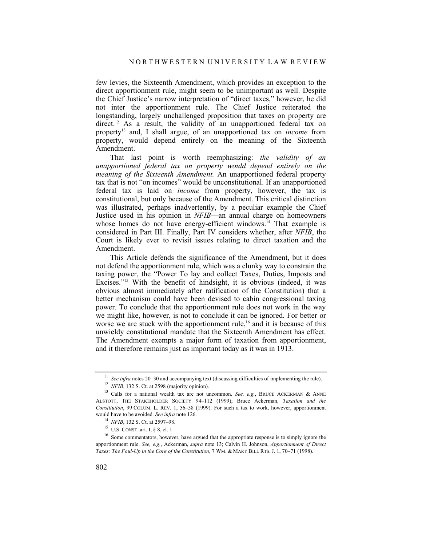few levies, the Sixteenth Amendment, which provides an exception to the direct apportionment rule, might seem to be unimportant as well. Despite the Chief Justice's narrow interpretation of "direct taxes," however, he did not inter the apportionment rule. The Chief Justice reiterated the longstanding, largely unchallenged proposition that taxes on property are direct.12 As a result, the validity of an unapportioned federal tax on property13 and, I shall argue, of an unapportioned tax on *income* from property, would depend entirely on the meaning of the Sixteenth Amendment.

That last point is worth reemphasizing: *the validity of an unapportioned federal tax on property would depend entirely on the meaning of the Sixteenth Amendment.* An unapportioned federal property tax that is not "on incomes" would be unconstitutional. If an unapportioned federal tax is laid on *income* from property, however, the tax is constitutional, but only because of the Amendment. This critical distinction was illustrated, perhaps inadvertently, by a peculiar example the Chief Justice used in his opinion in *NFIB*—an annual charge on homeowners whose homes do not have energy-efficient windows. $I<sup>4</sup>$  That example is considered in Part III. Finally, Part IV considers whether, after *NFIB*, the Court is likely ever to revisit issues relating to direct taxation and the Amendment.

This Article defends the significance of the Amendment, but it does not defend the apportionment rule, which was a clunky way to constrain the taxing power, the "Power To lay and collect Taxes, Duties, Imposts and Excises."<sup>15</sup> With the benefit of hindsight, it is obvious (indeed, it was obvious almost immediately after ratification of the Constitution) that a better mechanism could have been devised to cabin congressional taxing power. To conclude that the apportionment rule does not work in the way we might like, however, is not to conclude it can be ignored. For better or worse we are stuck with the apportionment rule,<sup>16</sup> and it is because of this unwieldy constitutional mandate that the Sixteenth Amendment has effect. The Amendment exempts a major form of taxation from apportionment, and it therefore remains just as important today as it was in 1913.

<sup>&</sup>lt;sup>11</sup> See infra notes 20–30 and accompanying text (discussing difficulties of implementing the rule).<br><sup>12</sup> *NFIB*, 132 S. Ct. at 2598 (majority opinion).<br><sup>13</sup> Calls for a national wealth tax are not uncommon. *See*, *e.g.* ALSTOTT, THE STAKEHOLDER SOCIETY 94–112 (1999); Bruce Ackerman, *Taxation and the Constitution*, 99 COLUM. L. REV*.* 1, 56–58 (1999). For such a tax to work, however, apportionment

would have to be avoided. *See infra* note 126.<br><sup>14</sup> *NFIB*, 132 S. Ct. at 2597–98.<br><sup>15</sup> U.S. CONST. art. I, § 8, cl. 1.<br><sup>16</sup> Some commentators, however, have argued that the appropriate response is to simply ignore the apportionment rule. *See, e.g.*, Ackerman, *supra* note 13; Calvin H. Johnson, *Apportionment of Direct Taxes: The Foul-Up in the Core of the Constitution*, 7 WM. & MARY BILL RTS. J. 1, 70–71 (1998).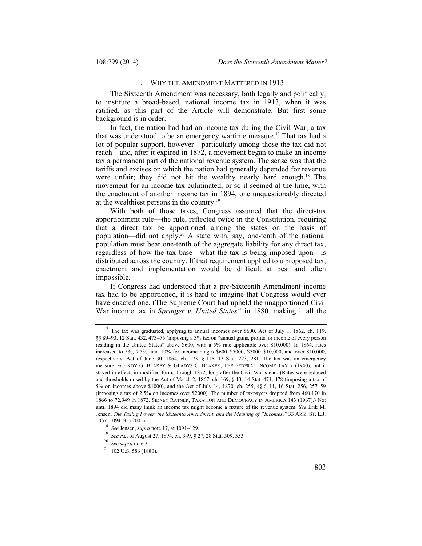### I. WHY THE AMENDMENT MATTERED IN 1913

The Sixteenth Amendment was necessary, both legally and politically, to institute a broad-based, national income tax in 1913, when it was ratified, as this part of the Article will demonstrate. But first some background is in order.

In fact, the nation had had an income tax during the Civil War, a tax that was understood to be an emergency wartime measure.17 That tax had a lot of popular support, however—particularly among those the tax did not reach—and, after it expired in 1872, a movement began to make an income tax a permanent part of the national revenue system. The sense was that the tariffs and excises on which the nation had generally depended for revenue were unfair; they did not hit the wealthy nearly hard enough.<sup>18</sup> The movement for an income tax culminated, or so it seemed at the time, with the enactment of another income tax in 1894, one unquestionably directed at the wealthiest persons in the country.19

With both of those taxes, Congress assumed that the direct-tax apportionment rule—the rule, reflected twice in the Constitution, requiring that a direct tax be apportioned among the states on the basis of population—did not apply.<sup>20</sup> A state with, say, one-tenth of the national population must bear one-tenth of the aggregate liability for any direct tax, regardless of how the tax base—what the tax is being imposed upon—is distributed across the country. If that requirement applied to a proposed tax, enactment and implementation would be difficult at best and often impossible.

If Congress had understood that a pre-Sixteenth Amendment income tax had to be apportioned, it is hard to imagine that Congress would ever have enacted one. (The Supreme Court had upheld the unapportioned Civil War income tax in *Springer v. United States*<sup>21</sup> in 1880, making it all the

<sup>&</sup>lt;sup>17</sup> The tax was graduated, applying to annual incomes over \$600. Act of July 1, 1862, ch. 119, §§ 89–93, 12 Stat. 432, 473–75 (imposing a 3% tax on "annual gains, profits, or income of every person residing in the United States" above \$600, with a 5% rate applicable over \$10,000). In 1864, rates increased to 5%, 7.5%, and 10% for income ranges \$600–\$5000, \$5000–\$10,000, and over \$10,000, respectively. Act of June 30, 1864, ch. 173, § 116, 13 Stat. 223, 281. The tax was an emergency measure, *see* ROY G. BLAKEY & GLADYS C. BLAKEY, THE FEDERAL INCOME TAX 7 (1940), but it stayed in effect, in modified form, through 1872, long after the Civil War's end. (Rates were reduced and thresholds raised by the Act of March 2, 1867, ch. 169, § 13, 14 Stat. 471, 478 (imposing a tax of 5% on incomes above \$1000), and the Act of July 14, 1870, ch. 255, §§ 6–11, 16 Stat. 256, 257–59 (imposing a tax of 2.5% on incomes over \$2000). The number of taxpayers dropped from 460,170 in 1866 to 72,949 in 1872. SIDNEY RATNER, TAXATION AND DEMOCRACY IN AMERICA 143 (1967).) Not until 1894 did many think an income tax might become a fixture of the revenue system. *See* Erik M. Jensen, *The Taxing Power, the Sixteenth Amendment, and the Meaning of "Incomes*,*"* 33 ARIZ. ST. L.J. 1057, 1094–95 (2001).

<sup>&</sup>lt;sup>18</sup> *See* Jensen, *supra* note 17, at 1091–129.<br><sup>19</sup> *See* Act of August 27, 1894, ch. 349, § 27, 28 Stat. 509, 553.<br><sup>20</sup> *See supra* note 3.<br><sup>21</sup> 102 U.S. 586 (1880).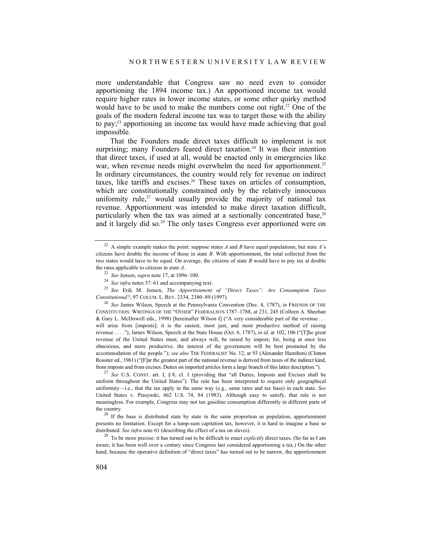more understandable that Congress saw no need even to consider apportioning the 1894 income tax.) An apportioned income tax would require higher rates in lower income states, or some other quirky method would have to be used to make the numbers come out right.<sup>22</sup> One of the goals of the modern federal income tax was to target those with the ability to pay;23 apportioning an income tax would have made achieving that goal impossible.

That the Founders made direct taxes difficult to implement is not surprising; many Founders feared direct taxation.<sup>24</sup> It was their intention that direct taxes, if used at all, would be enacted only in emergencies like war, when revenue needs might overwhelm the need for apportionment.<sup>25</sup> In ordinary circumstances, the country would rely for revenue on indirect taxes, like tariffs and excises.<sup>26</sup> These taxes on articles of consumption, which are constitutionally constrained only by the relatively innocuous uniformity rule, $27$  would usually provide the majority of national tax revenue. Apportionment was intended to make direct taxation difficult, particularly when the tax was aimed at a sectionally concentrated base,<sup>28</sup> and it largely did so.<sup>29</sup> The only taxes Congress ever apportioned were on

the rates applicable to citizens in state A.<br>
<sup>23</sup> See Jensen, *supra* note 17, at 1096–100.<br>
<sup>24</sup> See infra notes 57–61 and accompanying text.<br>
<sup>25</sup> See Erik M. Jensen, *The Apportionment of "Direct Taxes": Are Consumpti* 

<sup>26</sup> See James Wilson, Speech at the Pennsylvania Convention (Dec. 4, 1787), *in* FRIENDS OF THE CONSTITUTION: WRITINGS OF THE "OTHER" FEDERALISTS 1787–1788, at 231, 245 (Colleen A. Sheehan & Gary L. McDowell eds., 1998) [hereinafter Wilson I] ("A very considerable part of the revenue . . . will arise from [imposts]; it is the easiest, most just, and most productive method of raising revenue . . . ."); James Wilson, Speech at the State House (Oct. 6, 1787), *in id.* at 102, 106 ("[T]he great revenue of the United States must, and always will, be raised by impost; for, being at once less obnoxious, and more productive, the interest of the government will be best promoted by the accommodation of the people."); *see also* THE FEDERALIST No. 12, at 93 (Alexander Hamilton) (Clinton Rossiter ed., 1961) ("[F]ar the greatest part of the national revenue is derived from taxes of the indirect kind, from imposts and from excises. Duties on imported articles form a large branch of this latter description.")

<sup>27</sup> See U.S. CONST. art. I, § 8, cl. 1 (providing that "all Duties, Imposts and Excises shall be uniform throughout the United States"). The rule has been interpreted to require only geographical uniformity—i.e., that the tax apply in the same way (e.g., same rates and tax base) in each state. *See* United States v. Ptasynski, 462 U.S. 74, 84 (1983). Although easy to satisfy, that rule is not meaningless. For example, Congress may not tax gasoline consumption differently in different parts of the country.<br><sup>28</sup> If the base is distributed state by state in the same proportion as population, apportionment

presents no limitation. Except for a lump-sum capitation tax, however, it is hard to imagine a base so distributed. *See infra* note 61 (describing the effect of a tax on slaves).

<sup>29</sup> To be more precise: it has turned out to be difficult to enact *explicitly* direct taxes. (So far as I am aware, it has been well over a century since Congress last considered apportioning a tax.) On the other hand, because the operative definition of "direct taxes" has turned out to be narrow, the apportionment

<sup>22</sup> A simple example makes the point: suppose states *A* and *B* have equal populations, but state *A*'s citizens have double the income of those in state *B*. With apportionment, the total collected from the two states would have to be equal. On average, the citizens of state *B* would have to pay tax at double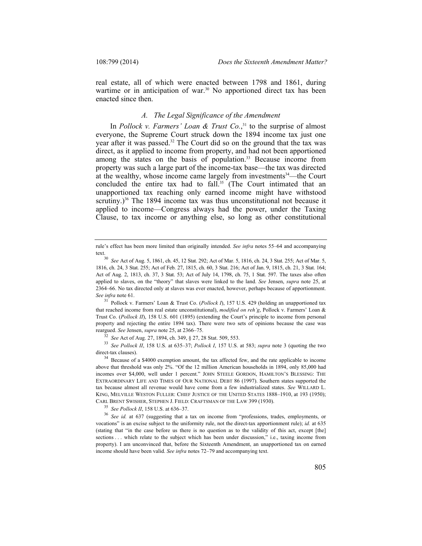real estate, all of which were enacted between 1798 and 1861, during wartime or in anticipation of war.<sup>30</sup> No apportioned direct tax has been enacted since then.

# *A. The Legal Significance of the Amendment*

In *Pollock v. Farmers' Loan & Trust Co.*<sup>31</sup> to the surprise of almost everyone, the Supreme Court struck down the 1894 income tax just one year after it was passed.<sup>32</sup> The Court did so on the ground that the tax was direct, as it applied to income from property, and had not been apportioned among the states on the basis of population.<sup>33</sup> Because income from property was such a large part of the income-tax base—the tax was directed at the wealthy, whose income came largely from investments $34$ —the Court concluded the entire tax had to fall.<sup>35</sup> (The Court intimated that an unapportioned tax reaching only earned income might have withstood scrutiny.)<sup>36</sup> The 1894 income tax was thus unconstitutional not because it applied to income—Congress always had the power, under the Taxing Clause, to tax income or anything else, so long as other constitutional

<sup>31</sup> Pollock v. Farmers' Loan & Trust Co. (*Pollock I*), 157 U.S. 429 (holding an unapportioned tax that reached income from real estate unconstitutional), *modified on reh'g*, Pollock v. Farmers' Loan & Trust Co. (*Pollock II*), 158 U.S. 601 (1895) (extending the Court's principle to income from personal property and rejecting the entire 1894 tax). There were two sets of opinions because the case was reargued. *See* Jensen, *supra* note 25, at 2366–75.

<sup>32</sup> *See* Act of Aug. 27, 1894, ch. 349, § 27, 28 Stat. 509, 553.<br><sup>33</sup> *See Pollock II*, 158 U.S. at 635–37; *Pollock I*, 157 U.S. at 583; *supra* note 3 (quoting the two direct-tax clauses).

<sup>34</sup> Because of a \$4000 exemption amount, the tax affected few, and the rate applicable to income above that threshold was only 2%. "Of the 12 million American households in 1894, only 85,000 had incomes over \$4,000, well under 1 percent." JOHN STEELE GORDON, HAMILTON'S BLESSING: THE EXTRAORDINARY LIFE AND TIMES OF OUR NATIONAL DEBT 86 (1997). Southern states supported the tax because almost all revenue would have come from a few industrialized states. *See* WILLARD L. KING, MELVILLE WESTON FULLER: CHIEF JUSTICE OF THE UNITED STATES 1888–1910, at 193 (1950); CARL BRENT SWISHER, STEPHEN J. FIELD: CRAFTSMAN OF THE LAW 399 (1930).

<sup>35</sup> *See Pollock II*, 158 U.S. at 636–37. 36 *See id.* at 637 (suggesting that a tax on income from "professions, trades, employments, or vocations" is an excise subject to the uniformity rule, not the direct-tax apportionment rule); *id.* at 635 (stating that "in the case before us there is no question as to the validity of this act, except [the] sections . . . which relate to the subject which has been under discussion," i.e., taxing income from property). I am unconvinced that, before the Sixteenth Amendment, an unapportioned tax on earned income should have been valid. *See infra* notes 72–79 and accompanying text.

rule's effect has been more limited than originally intended. *See infra* notes 55–64 and accompanying

text.30 *See* Act of Aug. 5, 1861, ch. 45, 12 Stat. 292; Act of Mar. 5, 1816, ch. 24, 3 Stat. 255; Act of Mar. 5, 1816, ch. 24, 3 Stat. 255; Act of Feb. 27, 1815, ch. 60, 3 Stat. 216; Act of Jan. 9, 1815, ch. 21, 3 Stat. 164; Act of Aug. 2, 1813, ch. 37, 3 Stat. 53; Act of July 14, 1798, ch. 75, 1 Stat. 597. The taxes also often applied to slaves, on the "theory" that slaves were linked to the land. *See* Jensen, *supra* note 25, at 2364–66. No tax directed only at slaves was ever enacted, however, perhaps because of apportionment. *See infra* note 61.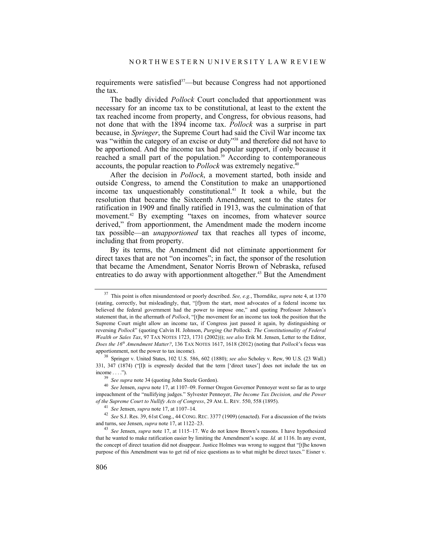requirements were satisfied<sup>37</sup>—but because Congress had not apportioned the tax.

The badly divided *Pollock* Court concluded that apportionment was necessary for an income tax to be constitutional, at least to the extent the tax reached income from property, and Congress, for obvious reasons, had not done that with the 1894 income tax. *Pollock* was a surprise in part because, in *Springer*, the Supreme Court had said the Civil War income tax was "within the category of an excise or duty"<sup>38</sup> and therefore did not have to be apportioned. And the income tax had popular support, if only because it reached a small part of the population.<sup>39</sup> According to contemporaneous accounts, the popular reaction to *Pollock* was extremely negative.<sup>40</sup>

After the decision in *Pollock*, a movement started, both inside and outside Congress, to amend the Constitution to make an unapportioned income tax unquestionably constitutional.<sup>41</sup> It took a while, but the resolution that became the Sixteenth Amendment, sent to the states for ratification in 1909 and finally ratified in 1913, was the culmination of that movement.<sup>42</sup> By exempting "taxes on incomes, from whatever source derived," from apportionment, the Amendment made the modern income tax possible—an *unapportioned* tax that reaches all types of income, including that from property.

By its terms, the Amendment did not eliminate apportionment for direct taxes that are not "on incomes"; in fact, the sponsor of the resolution that became the Amendment, Senator Norris Brown of Nebraska, refused entreaties to do away with apportionment altogether.<sup>43</sup> But the Amendment

<sup>37</sup> This point is often misunderstood or poorly described. *See, e.g.*, Thorndike, *supra* note 4, at 1370 (stating, correctly, but misleadingly, that, "[f]rom the start, most advocates of a federal income tax believed the federal government had the power to impose one," and quoting Professor Johnson's statement that, in the aftermath of *Pollock*, "[t]he movement for an income tax took the position that the Supreme Court might allow an income tax, if Congress just passed it again, by distinguishing or reversing *Pollock*" (quoting Calvin H. Johnson, *Purging Out* Pollock*: The Constitutionality of Federal Wealth or Sales Tax*, 97 TAX NOTES 1723, 1731 (2002))); *see also* Erik M. Jensen, Letter to the Editor, *Does the 16th Amendment Matter?*, 136 TAX NOTES 1617, 1618 (2012) (noting that *Pollock*'s focus was apportionment, not the power to tax income).

<sup>38</sup> Springer v. United States, 102 U.S. 586, 602 (1880); *see also* Scholey v. Rew, 90 U.S. (23 Wall.) 331, 347 (1874) ("[I]t is expressly decided that the term ['direct taxes'] does not include the tax on

income . . . .").<br><sup>39</sup> *See supra* note 34 (quoting John Steele Gordon).<br><sup>40</sup> *See* Jensen, *supra* note 17, at 1107–09. Former Oregon Governor Pennoyer went so far as to urge impeachment of the "nullifying judges." Sylvester Pennoyer, *The Income Tax Decision, and the Power of the Supreme Court to Nullify Acts of Congress*, 29 AM. L. REV. 550, 558 (1895).

<sup>41</sup> *See* Jensen, *supra* note 17, at 1107–14. 42 *See* S.J. Res. 39, 61st Cong., 44 CONG. REC. 3377 (1909) (enacted). For a discussion of the twists and turns, see Jensen, *supra* note 17, at 1122–23.

<sup>43</sup> *See* Jensen, *supra* note 17, at 1115–17. We do not know Brown's reasons. I have hypothesized that he wanted to make ratification easier by limiting the Amendment's scope. *Id.* at 1116. In any event, the concept of direct taxation did not disappear. Justice Holmes was wrong to suggest that "[t]he known purpose of this Amendment was to get rid of nice questions as to what might be direct taxes." Eisner v.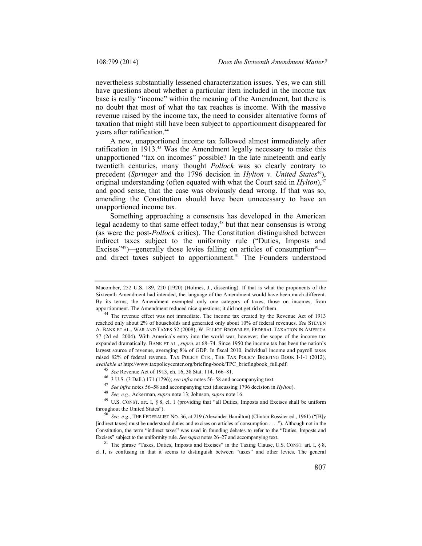nevertheless substantially lessened characterization issues. Yes, we can still have questions about whether a particular item included in the income tax base is really "income" within the meaning of the Amendment, but there is no doubt that most of what the tax reaches is income. With the massive revenue raised by the income tax, the need to consider alternative forms of taxation that might still have been subject to apportionment disappeared for years after ratification.<sup>44</sup>

A new, unapportioned income tax followed almost immediately after ratification in 1913.<sup>45</sup> Was the Amendment legally necessary to make this unapportioned "tax on incomes" possible? In the late nineteenth and early twentieth centuries, many thought *Pollock* was so clearly contrary to precedent (*Springer* and the 1796 decision in *Hylton v. United States<sup>46</sup>*), original understanding (often equated with what the Court said in *Hylton*),<sup>47</sup> and good sense, that the case was obviously dead wrong. If that was so, amending the Constitution should have been unnecessary to have an unapportioned income tax.

Something approaching a consensus has developed in the American legal academy to that same effect today, $48$  but that near consensus is wrong (as were the post-*Pollock* critics). The Constitution distinguished between indirect taxes subject to the uniformity rule ("Duties, Imposts and Excises<sup>"49</sup>)—generally those levies falling on articles of consumption<sup>50</sup> and direct taxes subject to apportionment.<sup>51</sup> The Founders understood

Macomber, 252 U.S. 189, 220 (1920) (Holmes, J., dissenting). If that is what the proponents of the Sixteenth Amendment had intended, the language of the Amendment would have been much different. By its terms, the Amendment exempted only one category of taxes, those on incomes, from apportionment. The Amendment reduced nice questions; it did not get rid of them.

<sup>44</sup> The revenue effect was not immediate. The income tax created by the Revenue Act of 1913 reached only about 2% of households and generated only about 10% of federal revenues. *See* STEVEN A. BANK ET AL., WAR AND TAXES 52 (2008); W. ELLIOT BROWNLEE, FEDERAL TAXATION IN AMERICA 57 (2d ed. 2004). With America's entry into the world war, however, the scope of the income tax expanded dramatically. BANK ET AL., *supra*, at 68–74. Since 1950 the income tax has been the nation's largest source of revenue, averaging 8% of GDP. In fiscal 2010, individual income and payroll taxes raised 82% of federal revenue. TAX POLICY CTR., THE TAX POLICY BRIEFING BOOK I-1-1 (2012), *available at http://www.taxpolicycenter.org/briefing-book/TPC\_briefingbook\_full.pdf.*<br><sup>45</sup> *See* Revenue Act of 1913, ch. 16, 38 Stat. 114, 166–81.<br><sup>46</sup> 3 U.S. (3 Dall.) 171 (1796); *see infra* notes 56–58 and accompanyi

<sup>49</sup> U.S. CONST. art. I, § 8, cl. 1 (providing that "all Duties, Imposts and Excises shall be uniform throughout the United States"). 50 *See, e.g.*, THE FEDERALIST NO. 36, at 219 (Alexander Hamilton) (Clinton Rossiter ed., 1961) ("[B]y

<sup>[</sup>indirect taxes] must be understood duties and excises on articles of consumption . . . ."). Although not in the Constitution, the term "indirect taxes" was used in founding debates to refer to the "Duties, Imposts and Excises" subject to the uniformity rule. *See supra* notes 26–27 and accompanying text.<br><sup>51</sup> The phrase "Taxes, Duties, Imposts and Excises" in the Taxing Clause, U.S. CONST. art. I, § 8,

cl. 1, is confusing in that it seems to distinguish between "taxes" and other levies. The general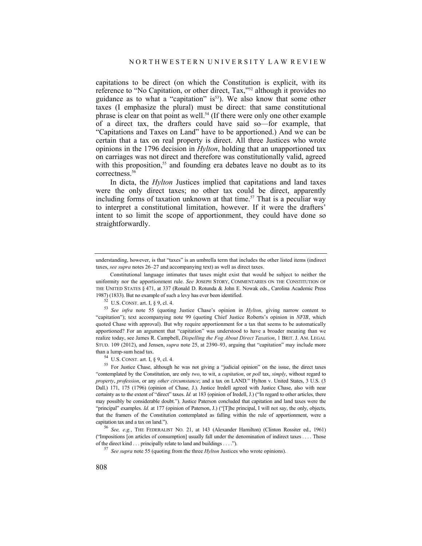capitations to be direct (on which the Constitution is explicit, with its reference to "No Capitation, or other direct, Tax,"52 although it provides no guidance as to what a "capitation" is<sup>53</sup>). We also know that some other taxes (I emphasize the plural) must be direct: that same constitutional phrase is clear on that point as well.54 (If there were only one other example of a direct tax, the drafters could have said so—for example, that "Capitations and Taxes on Land" have to be apportioned.) And we can be certain that a tax on real property is direct. All three Justices who wrote opinions in the 1796 decision in *Hylton*, holding that an unapportioned tax on carriages was not direct and therefore was constitutionally valid, agreed with this proposition,<sup>55</sup> and founding era debates leave no doubt as to its correctness.<sup>56</sup>

In dicta, the *Hylton* Justices implied that capitations and land taxes were the only direct taxes; no other tax could be direct, apparently including forms of taxation unknown at that time.<sup>57</sup> That is a peculiar way to interpret a constitutional limitation, however. If it were the drafters' intent to so limit the scope of apportionment, they could have done so straightforwardly.

understanding, however, is that "taxes" is an umbrella term that includes the other listed items (indirect taxes, *see supra* notes 26–27 and accompanying text) as well as direct taxes.

Constitutional language intimates that taxes might exist that would be subject to neither the uniformity nor the apportionment rule. *See* JOSEPH STORY, COMMENTARIES ON THE CONSTITUTION OF THE UNITED STATES § 471, at 337 (Ronald D. Rotunda & John E. Nowak eds., Carolina Academic Press 1987) (1833). But no example of such a levy has ever been identified.

<sup>52</sup> U.S. CONST. art. I, § 9, cl. 4. 53 *See infra* note 55 (quoting Justice Chase's opinion in *Hylton*, giving narrow content to "capitation"); text accompanying note 99 (quoting Chief Justice Roberts's opinion in *NFIB*, which quoted Chase with approval). But why require apportionment for a tax that seems to be automatically apportioned? For an argument that "capitation" was understood to have a broader meaning than we realize today, see James R. Campbell, *Dispelling the Fog About Direct Taxation*, 1 BRIT. J. AM. LEGAL STUD. 109 (2012), and Jensen, *supra* note 25, at 2390–93, arguing that "capitation" may include more than a lump-sum head tax.<br> $^{54}$  U.S. CONST. art. I, § 9, cl. 4.

<sup>&</sup>lt;sup>55</sup> For Justice Chase, although he was not giving a "judicial opinion" on the issue, the direct taxes "contemplated by the Constitution, are only *two*, to wit, a *capitation*, or *poll* tax, *simply*, without regard to *property*, *profession*, or any *other circumstance*; and a tax on LAND." Hylton v. United States, 3 U.S. (3 Dall.) 171, 175 (1796) (opinion of Chase, J.). Justice Iredell agreed with Justice Chase, also with near certainty as to the extent of "direct" taxes. *Id.* at 183 (opinion of Iredell, J.) ("In regard to other articles, there may possibly be considerable doubt."). Justice Paterson concluded that capitation and land taxes were the "principal" examples. *Id.* at 177 (opinion of Paterson, J.) ("[T]he principal, I will not say, the only, objects, that the framers of the Constitution contemplated as falling within the rule of apportionment, were a capitation tax and a tax on land."). 56 *See, e.g.*, THE FEDERALIST NO. 21, at 143 (Alexander Hamilton) (Clinton Rossiter ed., 1961)

<sup>(&</sup>quot;Impositions [on articles of consumption] usually fall under the denomination of indirect taxes . . . . Those of the direct kind . . . principally relate to land and buildings . . . . ").

<sup>&</sup>lt;sup>57</sup> See supra note 55 (quoting from the three *Hylton* Justices who wrote opinions).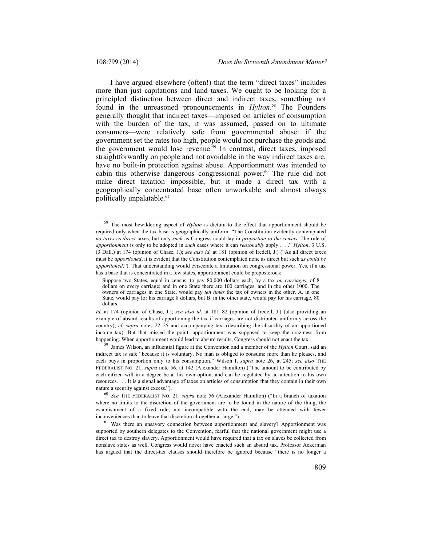I have argued elsewhere (often!) that the term "direct taxes" includes more than just capitations and land taxes. We ought to be looking for a principled distinction between direct and indirect taxes, something not found in the unreasoned pronouncements in *Hylton*. 58 The Founders generally thought that indirect taxes—imposed on articles of consumption with the burden of the tax, it was assumed, passed on to ultimate consumers—were relatively safe from governmental abuse: if the government set the rates too high, people would not purchase the goods and the government would lose revenue.<sup>59</sup> In contrast, direct taxes, imposed straightforwardly on people and not avoidable in the way indirect taxes are, have no built-in protection against abuse. Apportionment was intended to cabin this otherwise dangerous congressional power.<sup>60</sup> The rule did not make direct taxation impossible, but it made a direct tax with a geographically concentrated base often unworkable and almost always politically unpalatable.<sup>61</sup>

<sup>59</sup> James Wilson, an influential figure at the Convention and a member of the *Hylton* Court, said an indirect tax is safe "because it is voluntary. No man is obliged to consume more than he pleases, and each buys in proportion only to his consumption." Wilson I, *supra* note 26, at 245; *see also* THE FEDERALIST NO. 21, *supra* note 56, at 142 (Alexander Hamilton) ("The amount to be contributed by each citizen will in a degree be at his own option, and can be regulated by an attention to his own resources. . . . It is a signal advantage of taxes on articles of consumption that they contain in their own nature a security against excess.").<br><sup>60</sup> *See* THE FEDERALIST NO. 21, *supra* note 56 (Alexander Hamilton) ("In a branch of taxation

where no limits to the discretion of the government are to be found in the nature of the thing, the establishment of a fixed rule, not incompatible with the end, may be attended with fewer inconveniences than to leave that discretion altogether at large.").<br><sup>61</sup> Was there an unsavory connection between apportionment and slavery? Apportionment was

supported by southern delegates to the Convention, fearful that the national government might use a direct tax to destroy slavery. Apportionment would have required that a tax on slaves be collected from nonslave states as well. Congress would never have enacted such an absurd tax. Professor Ackerman has argued that the direct-tax clauses should therefore be ignored because "there is no longer a

<sup>58</sup> The most bewildering aspect of *Hylton* is dictum to the effect that apportionment should be required only when the tax base is geographically uniform: "The Constitution evidently contemplated *no taxes* as *direct* taxes, but only *such* as Congress could lay in *proportion to the census.* The rule of *apportionment* is only to be adopted in *such* cases where it can *reasonably* apply . . . ." *Hylton*, 3 U.S. (3 Dall.) at 174 (opinion of Chase, J.); *see also id.* at 181 (opinion of Iredell, J.) ("As all direct taxes must be *apportioned*, it is evident that the Constitution contemplated none as direct but such *as could be apportioned*."). That understanding would eviscerate a limitation on congressional power. Yes, if a tax has a base that is concentrated in a few states, apportionment could be preposterous:

Suppose two States, equal in census, to pay 80,000 dollars each, by a tax *on carriages*, of 8 dollars on every carriage; and in one State there are 100 carriages, and in the other 1000. The owners of carriages in one State, would pay *ten times* the tax of owners in the other. A. in one State, would pay for his carriage 8 dollars, but B. in the other state, would pay for his carriage, 80 dollars.

*Id.* at 174 (opinion of Chase, J.); *see also id.* at 181–82 (opinion of Iredell, J.) (also providing an example of absurd results of apportioning the tax if carriages are not distributed uniformly across the country); *cf. supra* notes 22–25 and accompanying text (describing the absurdity of an apportioned income tax). But that missed the point: apportionment was supposed to keep the craziness from happening. When apportionment would lead to absurd results, Congress should not enact the tax.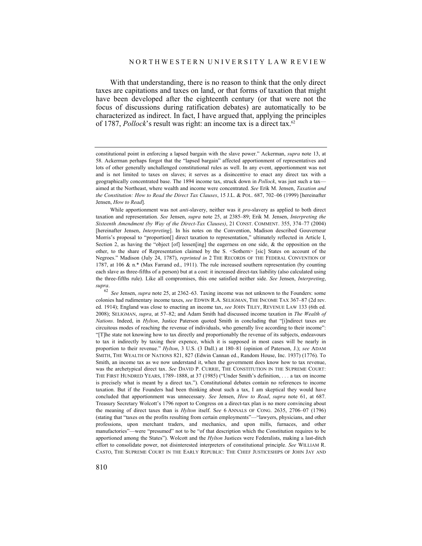With that understanding, there is no reason to think that the only direct taxes are capitations and taxes on land, or that forms of taxation that might have been developed after the eighteenth century (or that were not the focus of discussions during ratification debates) are automatically to be characterized as indirect. In fact, I have argued that, applying the principles of 1787, *Pollock*'s result was right: an income tax is a direct tax.62

While apportionment was not *anti*-slavery, neither was it *pro*-slavery as applied to both direct taxation and representation. *See* Jensen, *supra* note 25, at 2385–89; Erik M. Jensen, *Interpreting the Sixteenth Amendment (by Way of the Direct-Tax Clauses)*, 21 CONST. COMMENT. 355, 374–77 (2004) [hereinafter Jensen, *Interpreting*]. In his notes on the Convention, Madison described Gouverneur Morris's proposal to "proportion[] direct taxation to representation," ultimately reflected in Article I, Section 2, as having the "object [of] lessen[ing] the eagerness on one side,  $\&$  the opposition on the other, to the share of Representation claimed by the S. <Sothern> [sic] States on account of the Negroes." Madison (July 24, 1787), *reprinted in* 2 THE RECORDS OF THE FEDERAL CONVENTION OF 1787, at 106 & n.\* (Max Farrand ed., 1911). The rule increased southern representation (by counting each slave as three-fifths of a person) but at a cost: it increased direct-tax liability (also calculated using the three-fifths rule). Like all compromises, this one satisfied neither side. *See* Jensen, *Interpreting*, *supra*.

<sup>62</sup> *See* Jensen, *supra* note 25, at 2362–63. Taxing income was not unknown to the Founders: some colonies had rudimentary income taxes, *see* EDWIN R.A. SELIGMAN, THE INCOME TAX 367–87 (2d rev. ed. 1914); England was close to enacting an income tax, *see* JOHN TILEY, REVENUE LAW 133 (6th ed. 2008); SELIGMAN, *supra*, at 57–82; and Adam Smith had discussed income taxation in *The Wealth of Nations*. Indeed, in *Hylton*, Justice Paterson quoted Smith in concluding that "[i]ndirect taxes are circuitous modes of reaching the revenue of individuals, who generally live according to their income": "[T]he state not knowing how to tax directly and proportionably the revenue of its subjects, endeavours to tax it indirectly by taxing their expence, which it is supposed in most cases will be nearly in proportion to their revenue." *Hylton*, 3 U.S. (3 Dall.) at 180–81 (opinion of Paterson, J.); *see* ADAM SMITH, THE WEALTH OF NATIONS 821, 827 (Edwin Cannan ed., Random House, Inc. 1937) (1776). To Smith, an income tax as we now understand it, when the government does know how to tax revenue, was the archetypical direct tax. *See* DAVID P. CURRIE, THE CONSTITUTION IN THE SUPREME COURT: THE FIRST HUNDRED YEARS, 1789–1888, at 37 (1985) ("Under Smith's definition, . . . a tax on income is precisely what is meant by a direct tax."). Constitutional debates contain no references to income taxation. But if the Founders had been thinking about such a tax, I am skeptical they would have concluded that apportionment was unnecessary. *See* Jensen, *How to Read*, *supra* note 61, at 687. Treasury Secretary Wolcott's 1796 report to Congress on a direct-tax plan is no more convincing about the meaning of direct taxes than is *Hylton* itself. S*ee* 6 ANNALS OF CONG. 2635, 2706–07 (1796) (stating that "taxes on the profits resulting from certain employments"—"lawyers, physicians, and other professions, upon merchant traders, and mechanics, and upon mills, furnaces, and other manufactories"—were "presumed" not to be "of that description which the Constitution requires to be apportioned among the States"). Wolcott and the *Hylton* Justices were Federalists, making a last-ditch effort to consolidate power, not disinterested interpreters of constitutional principle. *See* WILLIAM R. CASTO, THE SUPREME COURT IN THE EARLY REPUBLIC: THE CHIEF JUSTICESHIPS OF JOHN JAY AND

constitutional point in enforcing a lapsed bargain with the slave power." Ackerman, *supra* note 13, at 58. Ackerman perhaps forgot that the "lapsed bargain" affected apportionment of representatives and lots of other generally unchallenged constitutional rules as well. In any event, apportionment was not and is not limited to taxes on slaves; it serves as a disincentive to enact any direct tax with a geographically concentrated base. The 1894 income tax, struck down in *Pollock*, was just such a tax aimed at the Northeast, where wealth and income were concentrated. *See* Erik M. Jensen, *Taxation and the Constitution: How to Read the Direct Tax Clauses*, 15 J.L. & POL. 687, 702–06 (1999) [hereinafter Jensen, *How to Read*].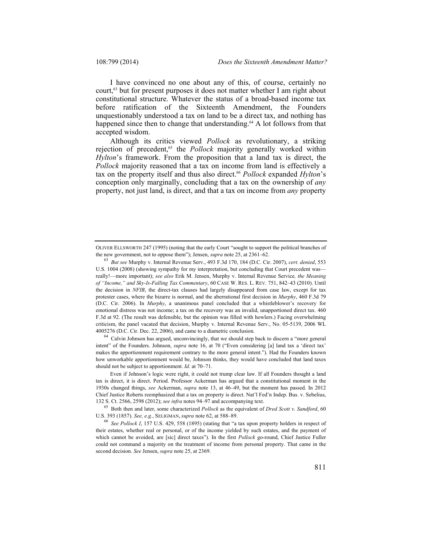I have convinced no one about any of this, of course, certainly no court,<sup>63</sup> but for present purposes it does not matter whether I am right about constitutional structure. Whatever the status of a broad-based income tax before ratification of the Sixteenth Amendment, the Founders unquestionably understood a tax on land to be a direct tax, and nothing has happened since then to change that understanding.<sup>64</sup> A lot follows from that accepted wisdom.

Although its critics viewed *Pollock* as revolutionary, a striking rejection of precedent,<sup>65</sup> the *Pollock* majority generally worked within *Hylton*'s framework. From the proposition that a land tax is direct, the *Pollock* majority reasoned that a tax on income from land is effectively a tax on the property itself and thus also direct.<sup>66</sup> Pollock expanded *Hylton*'s conception only marginally, concluding that a tax on the ownership of *any* property, not just land, is direct, and that a tax on income from *any* property

<sup>64</sup> Calvin Johnson has argued, unconvincingly, that we should step back to discern a "more general intent" of the Founders. Johnson, *supra* note 16, at 70 ("Even considering [a] land tax a 'direct tax' makes the apportionment requirement contrary to the more general intent."). Had the Founders known how unworkable apportionment would be, Johnson thinks, they would have concluded that land taxes should not be subject to apportionment. *Id.* at 70–71.

OLIVER ELLSWORTH 247 (1995) (noting that the early Court "sought to support the political branches of the new government, not to oppose them"); Jensen, *supra* note 25, at 2361–62.

<sup>63</sup> *But see* Murphy v. Internal Revenue Serv., 493 F.3d 170, 184 (D.C. Cir. 2007), *cert. denied*, 553 U.S. 1004 (2008) (showing sympathy for my interpretation, but concluding that Court precedent was really!—more important); *see also* Erik M. Jensen, Murphy v. Internal Revenue Service*, the Meaning of "Income," and Sky-Is-Falling Tax Commentary*, 60 CASE W. RES. L. REV. 751, 842–43 (2010). Until the decision in *NFIB*, the direct-tax clauses had largely disappeared from case law, except for tax protester cases, where the bizarre is normal, and the aberrational first decision in *Murphy*, 460 F.3d 79 (D.C. Cir. 2006). In *Murphy*, a unanimous panel concluded that a whistleblower's recovery for emotional distress was not income; a tax on the recovery was an invalid, unapportioned direct tax. 460 F.3d at 92. (The result was defensible, but the opinion was filled with howlers.) Facing overwhelming criticism, the panel vacated that decision, Murphy v. Internal Revenue Serv., No. 05-5139, 2006 WL 4005276 (D.C. Cir. Dec. 22, 2006), and came to a diametric conclusion.

Even if Johnson's logic were right, it could not trump clear law. If all Founders thought a land tax is direct, it is direct. Period. Professor Ackerman has argued that a constitutional moment in the 1930s changed things, *see* Ackerman, *supra* note 13, at 46–49, but the moment has passed. In 2012 Chief Justice Roberts reemphasized that a tax on property is direct. Nat'l Fed'n Indep. Bus. v. Sebelius, 132 S. Ct. 2566, 2598 (2012); *see infra* notes 94–97 and accompanying text.

<sup>65</sup> Both then and later, some characterized *Pollock* as the equivalent of *Dred Scott v. Sandford*, 60 U.S. 393 (1857). *See, e.g.*, SELIGMAN, *supra* note 62, at 588–89.

<sup>66</sup> *See Pollock I*, 157 U.S. 429, 558 (1895) (stating that "a tax upon property holders in respect of their estates, whether real or personal, or of the income yielded by such estates, and the payment of which cannot be avoided, are [sic] direct taxes"). In the first *Pollock* go-round, Chief Justice Fuller could not command a majority on the treatment of income from personal property. That came in the second decision. *See* Jensen, *supra* note 25, at 2369.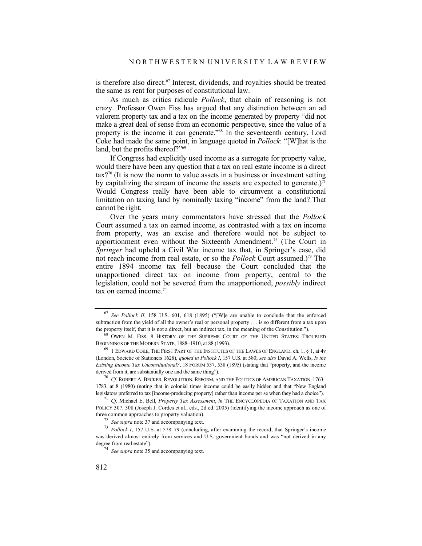is therefore also direct.<sup>67</sup> Interest, dividends, and royalties should be treated the same as rent for purposes of constitutional law.

As much as critics ridicule *Pollock*, that chain of reasoning is not crazy. Professor Owen Fiss has argued that any distinction between an ad valorem property tax and a tax on the income generated by property "did not make a great deal of sense from an economic perspective, since the value of a property is the income it can generate."68 In the seventeenth century, Lord Coke had made the same point, in language quoted in *Pollock*: "[W]hat is the land, but the profits thereof?"<sup>69</sup>

If Congress had explicitly used income as a surrogate for property value, would there have been any question that a tax on real estate income is a direct  $\text{tax}$ ?<sup>70</sup> (It is now the norm to value assets in a business or investment setting by capitalizing the stream of income the assets are expected to generate.) $^{\overline{7}1}$ Would Congress really have been able to circumvent a constitutional limitation on taxing land by nominally taxing "income" from the land? That cannot be right.

Over the years many commentators have stressed that the *Pollock* Court assumed a tax on earned income, as contrasted with a tax on income from property, was an excise and therefore would not be subject to apportionment even without the Sixteenth Amendment.<sup>72</sup> (The Court in *Springer* had upheld a Civil War income tax that, in Springer's case, did not reach income from real estate, or so the *Pollock* Court assumed.)73 The entire 1894 income tax fell because the Court concluded that the unapportioned direct tax on income from property, central to the legislation, could not be severed from the unapportioned, *possibly* indirect tax on earned income.<sup>74</sup>

<sup>70</sup> *Cf.* ROBERT A. BECKER, REVOLUTION, REFORM, AND THE POLITICS OF AMERICAN TAXATION, 1763– 1783, at 8 (1980) (noting that in colonial times income could be easily hidden and that "New England legislators preferred to tax [income-producing property] rather than income per se when they had a choice").

<sup>71</sup> *Cf.* Michael E. Bell, *Property Tax Assessment*, *in* THE ENCYCLOPEDIA OF TAXATION AND TAX POLICY 307, 308 (Joseph J. Cordes et al., eds., 2d ed. 2005) (identifying the income approach as one of three common approaches to property valuation).<br> $\frac{72}{2}$  See supra note 37 and accompanying text.

<sup>67</sup> *See Pollock II*, 158 U.S. 601, 618 (1895) ("[W]e are unable to conclude that the enforced subtraction from the yield of all the owner's real or personal property . . . is so different from a tax upon the property itself, that it is not a direct, but an indirect tax, in the meaning of the Constitution."). <sup>68</sup> OWEN M. FISS, 8 HISTORY OF THE SUPREME COURT OF THE UNITED STATES: TROUBLED

BEGINNINGS OF THE MODERN STATE, 1888–1910, at 88 (1993).

 $69$  1 EDWARD COKE, THE FIRST PART OF THE INSTITUTES OF THE LAWES OF ENGLAND, ch. 1,  $\S$  1, at 4v (London, Societie of Stationers 1628), *quoted in Pollock I*, 157 U.S. at 580; *see also* David A. Wells, *Is the Existing Income Tax Unconstitutional?*, 18 FORUM 537, 538 (1895) (stating that "property, and the income derived from it, are substantially one and the same thing").

<sup>&</sup>lt;sup>73</sup> *Pollock I*, 157 U.S. at 578–79 (concluding, after examining the record, that Springer's income was derived almost entirely from services and U.S. government bonds and was "not derived in any degree from real estate").

<sup>&</sup>lt;sup>74</sup> *See supra* note 35 and accompanying text.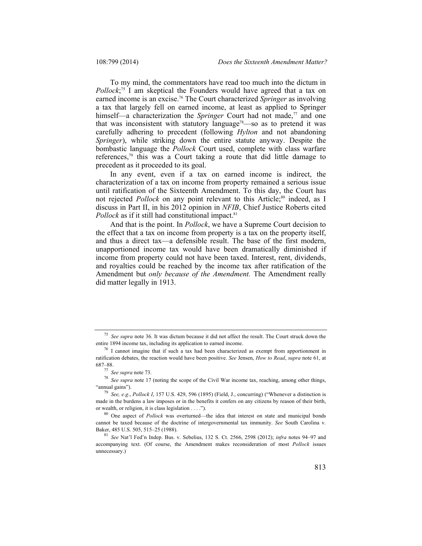To my mind, the commentators have read too much into the dictum in *Pollock*; 75 I am skeptical the Founders would have agreed that a tax on earned income is an excise.76 The Court characterized *Springer* as involving a tax that largely fell on earned income, at least as applied to Springer himself—a characterization the *Springer* Court had not made,<sup>77</sup> and one that was inconsistent with statutory language<sup>78</sup>—so as to pretend it was carefully adhering to precedent (following *Hylton* and not abandoning *Springer*), while striking down the entire statute anyway. Despite the bombastic language the *Pollock* Court used, complete with class warfare references, $79$  this was a Court taking a route that did little damage to precedent as it proceeded to its goal.

In any event, even if a tax on earned income is indirect, the characterization of a tax on income from property remained a serious issue until ratification of the Sixteenth Amendment. To this day, the Court has not rejected *Pollock* on any point relevant to this Article;<sup>80</sup> indeed, as I discuss in Part II, in his 2012 opinion in *NFIB*, Chief Justice Roberts cited *Pollock* as if it still had constitutional impact.<sup>81</sup>

And that is the point. In *Pollock*, we have a Supreme Court decision to the effect that a tax on income from property is a tax on the property itself, and thus a direct tax—a defensible result. The base of the first modern, unapportioned income tax would have been dramatically diminished if income from property could not have been taxed. Interest, rent, dividends, and royalties could be reached by the income tax after ratification of the Amendment but *only because of the Amendment.* The Amendment really did matter legally in 1913.

<sup>&</sup>lt;sup>75</sup> *See supra* note 36. It was dictum because it did not affect the result. The Court struck down the entire 1894 income tax, including its application to earned income.

 $^{76}$  I cannot imagine that if such a tax had been characterized as exempt from apportionment in ratification debates, the reaction would have been positive. *See* Jensen, *How to Read*, *supra* note 61, at 687–88.<br> $\frac{77}{7}$  See supra note 73.

<sup>&</sup>lt;sup>78</sup> See supra note 17 (noting the scope of the Civil War income tax, reaching, among other things, "annual gains"). 79 *See, e.g.*, *Pollock I*, 157 U.S. 429, 596 (1895) (Field, J., concurring) ("Whenever a distinction is

made in the burdens a law imposes or in the benefits it confers on any citizens by reason of their birth, or wealth, or religion, it is class legislation . . . . ").

<sup>&</sup>lt;sup>80</sup> One aspect of *Pollock* was overturned—the idea that interest on state and municipal bonds cannot be taxed because of the doctrine of intergovernmental tax immunity. *See* South Carolina v. Baker, 485 U.S. 505, 515–25 (1988). 81 *See* Nat'l Fed'n Indep. Bus. v. Sebelius, 132 S. Ct. 2566, 2598 (2012); *infra* notes 94–97 and

accompanying text. (Of course, the Amendment makes reconsideration of most *Pollock* issues unnecessary.)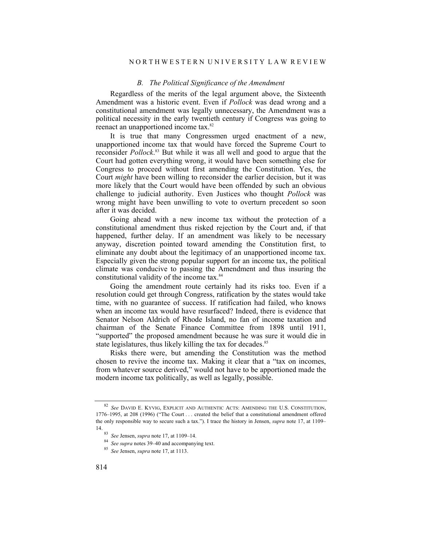#### N O R T H W E S T E R N U N I V E R S I T Y L A W R E V I E W

## *B. The Political Significance of the Amendment*

Regardless of the merits of the legal argument above, the Sixteenth Amendment was a historic event. Even if *Pollock* was dead wrong and a constitutional amendment was legally unnecessary, the Amendment was a political necessity in the early twentieth century if Congress was going to reenact an unapportioned income tax.<sup>82</sup>

It is true that many Congressmen urged enactment of a new, unapportioned income tax that would have forced the Supreme Court to reconsider *Pollock*. 83 But while it was all well and good to argue that the Court had gotten everything wrong, it would have been something else for Congress to proceed without first amending the Constitution. Yes, the Court *might* have been willing to reconsider the earlier decision, but it was more likely that the Court would have been offended by such an obvious challenge to judicial authority. Even Justices who thought *Pollock* was wrong might have been unwilling to vote to overturn precedent so soon after it was decided.

Going ahead with a new income tax without the protection of a constitutional amendment thus risked rejection by the Court and, if that happened, further delay. If an amendment was likely to be necessary anyway, discretion pointed toward amending the Constitution first, to eliminate any doubt about the legitimacy of an unapportioned income tax. Especially given the strong popular support for an income tax, the political climate was conducive to passing the Amendment and thus insuring the constitutional validity of the income tax.<sup>84</sup>

Going the amendment route certainly had its risks too. Even if a resolution could get through Congress, ratification by the states would take time, with no guarantee of success. If ratification had failed, who knows when an income tax would have resurfaced? Indeed, there is evidence that Senator Nelson Aldrich of Rhode Island, no fan of income taxation and chairman of the Senate Finance Committee from 1898 until 1911, "supported" the proposed amendment because he was sure it would die in state legislatures, thus likely killing the tax for decades.<sup>85</sup>

Risks there were, but amending the Constitution was the method chosen to revive the income tax. Making it clear that a "tax on incomes, from whatever source derived," would not have to be apportioned made the modern income tax politically, as well as legally, possible.

<sup>82</sup> *See* DAVID E. KYVIG, EXPLICIT AND AUTHENTIC ACTS: AMENDING THE U.S. CONSTITUTION, 1776–1995, at 208 (1996) ("The Court . . . created the belief that a constitutional amendment offered the only responsible way to secure such a tax."). I trace the history in Jensen, *supra* note 17, at 1109– 14. 83 *See* Jensen, *supra* note 17, at 1109–14. 84 *See supra* notes 39–40 and accompanying text. 85 *See* Jensen, *supra* note 17, at 1113.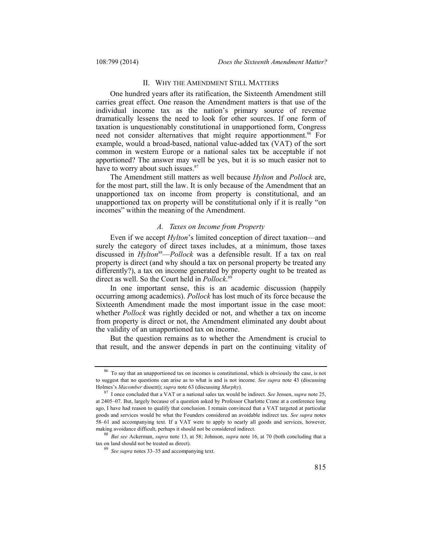# II. WHY THE AMENDMENT STILL MATTERS

One hundred years after its ratification, the Sixteenth Amendment still carries great effect. One reason the Amendment matters is that use of the individual income tax as the nation's primary source of revenue dramatically lessens the need to look for other sources. If one form of taxation is unquestionably constitutional in unapportioned form, Congress need not consider alternatives that might require apportionment.<sup>86</sup> For example, would a broad-based, national value-added tax (VAT) of the sort common in western Europe or a national sales tax be acceptable if not apportioned? The answer may well be yes, but it is so much easier not to have to worry about such issues.<sup>87</sup>

The Amendment still matters as well because *Hylton* and *Pollock* are, for the most part, still the law. It is only because of the Amendment that an unapportioned tax on income from property is constitutional, and an unapportioned tax on property will be constitutional only if it is really "on incomes" within the meaning of the Amendment.

### *A. Taxes on Income from Property*

Even if we accept *Hylton*'s limited conception of direct taxation—and surely the category of direct taxes includes, at a minimum, those taxes discussed in *Hylton*<sup>88</sup>—*Pollock* was a defensible result. If a tax on real property is direct (and why should a tax on personal property be treated any differently?), a tax on income generated by property ought to be treated as direct as well. So the Court held in *Pollock*. 89

In one important sense, this is an academic discussion (happily occurring among academics). *Pollock* has lost much of its force because the Sixteenth Amendment made the most important issue in the case moot: whether *Pollock* was rightly decided or not, and whether a tax on income from property is direct or not, the Amendment eliminated any doubt about the validity of an unapportioned tax on income.

But the question remains as to whether the Amendment is crucial to that result, and the answer depends in part on the continuing vitality of

<sup>86</sup> To say that an unapportioned tax on incomes is constitutional, which is obviously the case, is not to suggest that no questions can arise as to what is and is not income. *See supra* note 43 (discussing Holmes's *Macomber* dissent); *supra* note 63 (discussing *Murphy*). 87 I once concluded that a VAT or a national sales tax would be indirect. *See* Jensen, *supra* note 25,

at 2405–07. But, largely because of a question asked by Professor Charlotte Crane at a conference long ago, I have had reason to qualify that conclusion. I remain convinced that a VAT targeted at particular goods and services would be what the Founders considered an avoidable indirect tax. *See supra* notes 58–61 and accompanying text. If a VAT were to apply to nearly all goods and services, however,

making avoidance difficult, perhaps it should not be considered indirect.<br><sup>88</sup> *But see* Ackerman, *supra* note 13, at 58; Johnson, *supra* note 16, at 70 (both concluding that a tax on land should not be treated as direct

<sup>&</sup>lt;sup>89</sup> See supra notes 33–35 and accompanying text.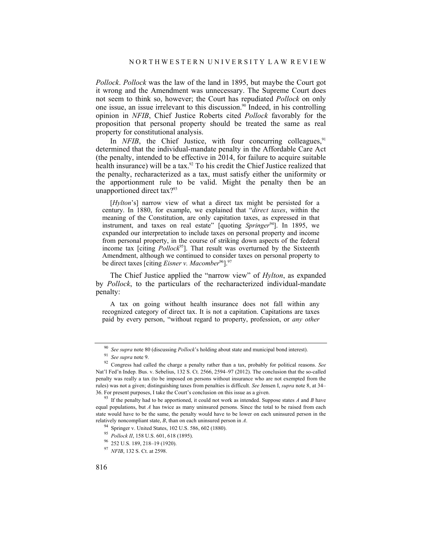*Pollock*. *Pollock* was the law of the land in 1895, but maybe the Court got it wrong and the Amendment was unnecessary. The Supreme Court does not seem to think so, however; the Court has repudiated *Pollock* on only one issue, an issue irrelevant to this discussion.90 Indeed, in his controlling opinion in *NFIB*, Chief Justice Roberts cited *Pollock* favorably for the proposition that personal property should be treated the same as real property for constitutional analysis.

In *NFIB*, the Chief Justice, with four concurring colleagues,<sup>91</sup> determined that the individual-mandate penalty in the Affordable Care Act (the penalty, intended to be effective in 2014, for failure to acquire suitable health insurance) will be a tax.<sup>92</sup> To his credit the Chief Justice realized that the penalty, recharacterized as a tax, must satisfy either the uniformity or the apportionment rule to be valid. Might the penalty then be an unapportioned direct tax?93

[*Hylton*'s] narrow view of what a direct tax might be persisted for a century. In 1880, for example, we explained that "*direct taxes*, within the meaning of the Constitution, are only capitation taxes, as expressed in that instrument, and taxes on real estate" [quoting *Springer*94]. In 1895, we expanded our interpretation to include taxes on personal property and income from personal property, in the course of striking down aspects of the federal income tax [citing *Pollock*<sup>95</sup>]. That result was overturned by the Sixteenth Amendment, although we continued to consider taxes on personal property to be direct taxes [citing *Eisner v. Macomber*<sup>96</sup>].<sup>97</sup>

The Chief Justice applied the "narrow view" of *Hylton*, as expanded by *Pollock*, to the particulars of the recharacterized individual-mandate penalty:

 A tax on going without health insurance does not fall within any recognized category of direct tax. It is not a capitation. Capitations are taxes paid by every person, "without regard to property, profession, or *any other* 

<sup>&</sup>lt;sup>90</sup> See supra note 80 (discussing *Pollock*'s holding about state and municipal bond interest).<br><sup>91</sup> See supra note 9.<br><sup>92</sup> Congress had called the charge a penalty rather than a tax, probably for political reasons. See Nat'l Fed'n Indep. Bus. v. Sebelius, 132 S. Ct. 2566, 2594–97 (2012). The conclusion that the so-called penalty was really a tax (to be imposed on persons without insurance who are not exempted from the rules) was not a given; distinguishing taxes from penalties is difficult. *See* Jensen I, *supra* note 8, at 34–

<sup>36.</sup> For present purposes, I take the Court's conclusion on this issue as a given. 93 If the penalty had to be apportioned, it could not work as intended. Suppose states *A* and *B* have equal populations, but *A* has twice as many uninsured persons. Since the total to be raised from each state would have to be the same, the penalty would have to be lower on each uninsured person in the relatively noncompliant state, *B*, than on each uninsured person in *A*.<br><sup>94</sup> Springer v. United States, 102 U.S. 586, 602 (1880).<br><sup>95</sup> Pollock *II*, 158 U.S. 601, 618 (1895).<br><sup>96</sup> 252 U.S. 189, 218–19 (1920).<br><sup>97</sup> NFIB,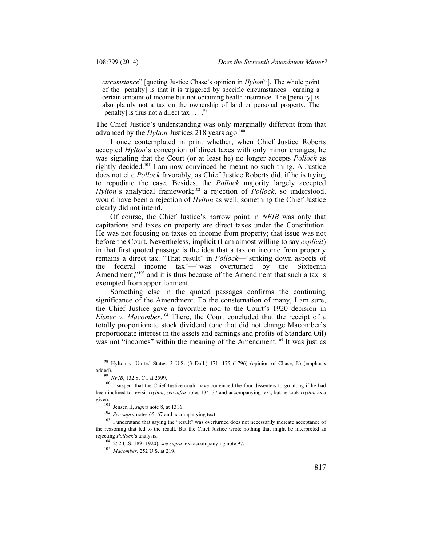*circumstance*" [quoting Justice Chase's opinion in *Hylton*98]. The whole point of the [penalty] is that it is triggered by specific circumstances—earning a certain amount of income but not obtaining health insurance. The [penalty] is also plainly not a tax on the ownership of land or personal property. The [penalty] is thus not a direct tax  $\ldots$ .

The Chief Justice's understanding was only marginally different from that advanced by the *Hylton* Justices 218 years ago.<sup>100</sup>

I once contemplated in print whether, when Chief Justice Roberts accepted *Hylton*'s conception of direct taxes with only minor changes, he was signaling that the Court (or at least he) no longer accepts *Pollock* as rightly decided.101 I am now convinced he meant no such thing. A Justice does not cite *Pollock* favorably, as Chief Justice Roberts did, if he is trying to repudiate the case. Besides, the *Pollock* majority largely accepted *Hylton*'s analytical framework;<sup>102</sup> a rejection of *Pollock*, so understood, would have been a rejection of *Hylton* as well, something the Chief Justice clearly did not intend.

Of course, the Chief Justice's narrow point in *NFIB* was only that capitations and taxes on property are direct taxes under the Constitution. He was not focusing on taxes on income from property; that issue was not before the Court. Nevertheless, implicit (I am almost willing to say *explicit*) in that first quoted passage is the idea that a tax on income from property remains a direct tax. "That result" in *Pollock*—"striking down aspects of the federal income tax"—"was overturned by the Sixteenth Amendment,"<sup>103</sup> and it is thus because of the Amendment that such a tax is exempted from apportionment.

Something else in the quoted passages confirms the continuing significance of the Amendment. To the consternation of many, I am sure, the Chief Justice gave a favorable nod to the Court's 1920 decision in *Eisner v. Macomber*. <sup>104</sup> There, the Court concluded that the receipt of a totally proportionate stock dividend (one that did not change Macomber's proportionate interest in the assets and earnings and profits of Standard Oil) was not "incomes" within the meaning of the Amendment.<sup>105</sup> It was just as

<sup>98</sup> Hylton v. United States, 3 U.S. (3 Dall.) 171, 175 (1796) (opinion of Chase, J.) (emphasis

added).<br><sup>99</sup> *NFIB*, 132 S. Ct. at 2599.<br><sup>100</sup> I suspect that the Chief Justice could have convinced the four dissenters to go along if he had been inclined to revisit *Hylton*, s*ee infra* notes 134–37 and accompanying text, but he took *Hylton* as a given. 101 Jensen II, *supra* note 8, at 1316.

<sup>102</sup> *See supra* notes 65–67 and accompanying text.

<sup>&</sup>lt;sup>103</sup> I understand that saying the "result" was overturned does not necessarily indicate acceptance of the reasoning that led to the result. But the Chief Justice wrote nothing that might be interpreted as rejecting *Pollock*'s analysis.

<sup>104</sup> 252 U.S. 189 (1920); *see supra* text accompanying note 97. 105 *Macomber*, 252 U.S. at 219.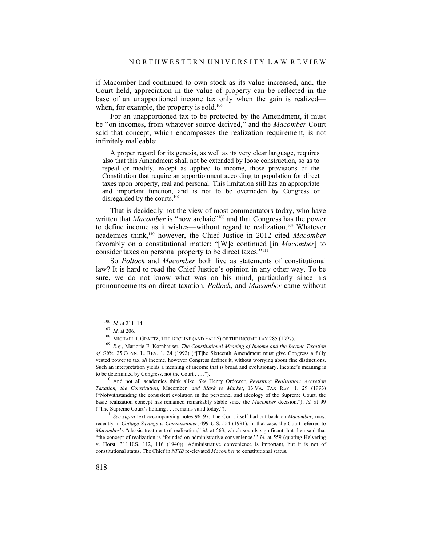if Macomber had continued to own stock as its value increased, and, the Court held, appreciation in the value of property can be reflected in the base of an unapportioned income tax only when the gain is realized when, for example, the property is sold.<sup>106</sup>

For an unapportioned tax to be protected by the Amendment, it must be "on incomes, from whatever source derived," and the *Macomber* Court said that concept, which encompasses the realization requirement, is not infinitely malleable:

 A proper regard for its genesis, as well as its very clear language, requires also that this Amendment shall not be extended by loose construction, so as to repeal or modify, except as applied to income, those provisions of the Constitution that require an apportionment according to population for direct taxes upon property, real and personal. This limitation still has an appropriate and important function, and is not to be overridden by Congress or disregarded by the courts.<sup>107</sup>

That is decidedly not the view of most commentators today, who have written that *Macomber* is "now archaic"<sup>108</sup> and that Congress has the power to define income as it wishes—without regard to realization.109 Whatever academics think,110 however, the Chief Justice in 2012 cited *Macomber* favorably on a constitutional matter: "[W]e continued [in *Macomber*] to consider taxes on personal property to be direct taxes."111

So *Pollock* and *Macomber* both live as statements of constitutional law? It is hard to read the Chief Justice's opinion in any other way. To be sure, we do not know what was on his mind, particularly since his pronouncements on direct taxation, *Pollock*, and *Macomber* came without

*Taxation, the Constitution,* Macomber*, and Mark to Market*, 13 VA. TAX REV. 1, 29 (1993) ("Notwithstanding the consistent evolution in the personnel and ideology of the Supreme Court, the basic realization concept has remained remarkably stable since the *Macomber* decision."); *id.* at 99 ("The Supreme Court's holding . . . remains valid today."). 111 *See supra* text accompanying notes 96–97. The Court itself had cut back on *Macomber*, most

recently in *Cottage Savings v. Commissioner*, 499 U.S. 554 (1991). In that case, the Court referred to *Macomber*'s "classic treatment of realization," *id.* at 563, which sounds significant, but then said that "the concept of realization is 'founded on administrative convenience.'" *Id.* at 559 (quoting Helvering v. Horst, 311 U.S. 112, 116 (1940)). Administrative convenience is important, but it is not of constitutional status. The Chief in *NFIB* re-elevated *Macomber* to constitutional status.

<sup>&</sup>lt;sup>106</sup> *Id.* at 211–14.<br><sup>107</sup> *Id.* at 206.<br><sup>108</sup> MICHAEL J. GRAETZ, THE DECLINE (AND FALL?) OF THE INCOME TAX 285 (1997).<br><sup>109</sup> *E.g.*, Mariorie E. Kornhauser, *The Constitutional Meaning of Income and the Income Taxation of Gifts*, 25 CONN. L. REV. 1, 24 (1992) ("[T]he Sixteenth Amendment must give Congress a fully vested power to tax *all* income, however Congress defines it, without worrying about fine distinctions. Such an interpretation yields a meaning of income that is broad and evolutionary. Income's meaning is to be determined by Congress, not the Court . . . ."). 110 And not all academics think alike. *See* Henry Ordower, *Revisiting Realization: Accretion*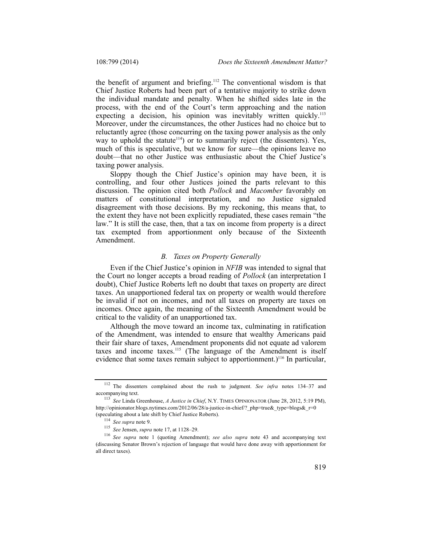the benefit of argument and briefing.<sup>112</sup> The conventional wisdom is that Chief Justice Roberts had been part of a tentative majority to strike down the individual mandate and penalty. When he shifted sides late in the process, with the end of the Court's term approaching and the nation expecting a decision, his opinion was inevitably written quickly.<sup>113</sup> Moreover, under the circumstances, the other Justices had no choice but to reluctantly agree (those concurring on the taxing power analysis as the only way to uphold the statute<sup> $114$ </sup>) or to summarily reject (the dissenters). Yes, much of this is speculative, but we know for sure—the opinions leave no doubt—that no other Justice was enthusiastic about the Chief Justice's taxing power analysis.

Sloppy though the Chief Justice's opinion may have been, it is controlling, and four other Justices joined the parts relevant to this discussion. The opinion cited both *Pollock* and *Macomber* favorably on matters of constitutional interpretation, and no Justice signaled disagreement with those decisions. By my reckoning, this means that, to the extent they have not been explicitly repudiated, these cases remain "the law." It is still the case, then, that a tax on income from property is a direct tax exempted from apportionment only because of the Sixteenth Amendment.

#### *B. Taxes on Property Generally*

Even if the Chief Justice's opinion in *NFIB* was intended to signal that the Court no longer accepts a broad reading of *Pollock* (an interpretation I doubt), Chief Justice Roberts left no doubt that taxes on property are direct taxes. An unapportioned federal tax on property or wealth would therefore be invalid if not on incomes, and not all taxes on property are taxes on incomes. Once again, the meaning of the Sixteenth Amendment would be critical to the validity of an unapportioned tax.

Although the move toward an income tax, culminating in ratification of the Amendment, was intended to ensure that wealthy Americans paid their fair share of taxes, Amendment proponents did not equate ad valorem taxes and income taxes.<sup>115</sup> (The language of the Amendment is itself evidence that some taxes remain subject to apportionment.)<sup>116</sup> In particular,

<sup>112</sup> The dissenters complained about the rush to judgment. *See infra* notes 134–37 and accompanying text. 113 *See* Linda Greenhouse, *A Justice in Chief*, N.Y. TIMES OPINIONATOR (June 28, 2012, 5:19 PM),

http://opinionator.blogs.nytimes.com/2012/06/28/a-justice-in-chief/? php=true& type=blogs& r=0

<sup>(</sup>speculating about a late shift by Chief Justice Roberts).<br>
<sup>114</sup> See supra note 9.<br>
<sup>115</sup> See Jensen, *supra* note 17, at 1128–29.<br>
<sup>116</sup> See supra note 1 (quoting Amendment); see also supra note 43 and accompanying text (discussing Senator Brown's rejection of language that would have done away with apportionment for all direct taxes).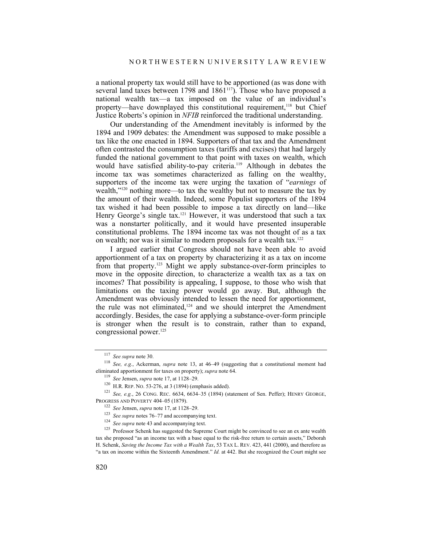a national property tax would still have to be apportioned (as was done with several land taxes between 1798 and 1861<sup>117</sup>). Those who have proposed a national wealth tax—a tax imposed on the value of an individual's property—have downplayed this constitutional requirement,118 but Chief Justice Roberts's opinion in *NFIB* reinforced the traditional understanding.

Our understanding of the Amendment inevitably is informed by the 1894 and 1909 debates: the Amendment was supposed to make possible a tax like the one enacted in 1894. Supporters of that tax and the Amendment often contrasted the consumption taxes (tariffs and excises) that had largely funded the national government to that point with taxes on wealth, which would have satisfied ability-to-pay criteria.<sup>119</sup> Although in debates the income tax was sometimes characterized as falling on the wealthy, supporters of the income tax were urging the taxation of "*earnings* of wealth,"120 nothing more—to tax the wealthy but not to measure the tax by the amount of their wealth. Indeed, some Populist supporters of the 1894 tax wished it had been possible to impose a tax directly on land—like Henry George's single tax.<sup>121</sup> However, it was understood that such a tax was a nonstarter politically, and it would have presented insuperable constitutional problems. The 1894 income tax was not thought of as a tax on wealth; nor was it similar to modern proposals for a wealth tax.<sup>122</sup>

I argued earlier that Congress should not have been able to avoid apportionment of a tax on property by characterizing it as a tax on income from that property.123 Might we apply substance-over-form principles to move in the opposite direction, to characterize a wealth tax as a tax on incomes? That possibility is appealing, I suppose, to those who wish that limitations on the taxing power would go away. But, although the Amendment was obviously intended to lessen the need for apportionment, the rule was not eliminated,124 and we should interpret the Amendment accordingly. Besides, the case for applying a substance-over-form principle is stronger when the result is to constrain, rather than to expand, congressional power.<sup>125</sup>

<sup>117</sup> *See supra* note 30. 118 *See, e.g.*, Ackerman, *supra* note 13, at 46–49 (suggesting that a constitutional moment had eliminated apportionment for taxes on property); *supra* note 64.<br><sup>119</sup> See Jensen, *supra* note 17, at 1128–29.

<sup>&</sup>lt;sup>120</sup> H.R. REP. No. 53-276, at 3 (1894) (emphasis added). <sup>121</sup> *See, e.g.*, 26 CONG. REC. 6634, 6634–35 (1894) (statement of Sen. Peffer); HENRY GEORGE, PROGRESS AND POVERTY 404–05 (1879). 122 *See* Jensen, *supra* note 17, at 1128–29. 123 *See supra* notes 76–77 and accompanying text.

<sup>&</sup>lt;sup>124</sup> *See supra* note 43 and accompanying text.

<sup>&</sup>lt;sup>125</sup> Professor Schenk has suggested the Supreme Court might be convinced to see an ex ante wealth tax she proposed "as an income tax with a base equal to the risk-free return to certain assets," Deborah H. Schenk, *Saving the Income Tax with a Wealth Tax*, 53 TAX L. REV. 423, 441 (2000), and therefore as "a tax on income within the Sixteenth Amendment." *Id.* at 442. But she recognized the Court might see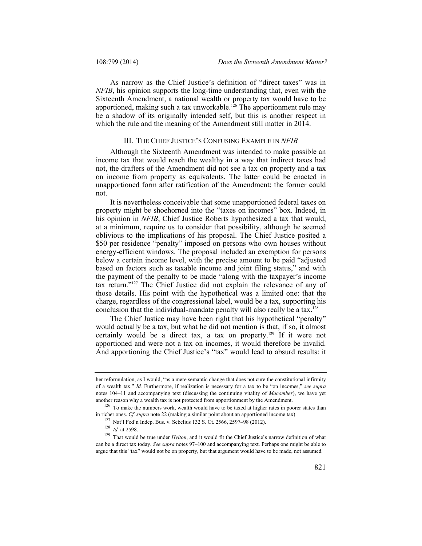As narrow as the Chief Justice's definition of "direct taxes" was in *NFIB*, his opinion supports the long-time understanding that, even with the Sixteenth Amendment, a national wealth or property tax would have to be apportioned, making such a tax unworkable.<sup>126</sup> The apportionment rule may be a shadow of its originally intended self, but this is another respect in which the rule and the meaning of the Amendment still matter in 2014.

# III. THE CHIEF JUSTICE'S CONFUSING EXAMPLE IN *NFIB*

Although the Sixteenth Amendment was intended to make possible an income tax that would reach the wealthy in a way that indirect taxes had not, the drafters of the Amendment did not see a tax on property and a tax on income from property as equivalents. The latter could be enacted in unapportioned form after ratification of the Amendment; the former could not.

It is nevertheless conceivable that some unapportioned federal taxes on property might be shoehorned into the "taxes on incomes" box. Indeed, in his opinion in *NFIB*, Chief Justice Roberts hypothesized a tax that would, at a minimum, require us to consider that possibility, although he seemed oblivious to the implications of his proposal. The Chief Justice posited a \$50 per residence "penalty" imposed on persons who own houses without energy-efficient windows. The proposal included an exemption for persons below a certain income level, with the precise amount to be paid "adjusted based on factors such as taxable income and joint filing status," and with the payment of the penalty to be made "along with the taxpayer's income tax return."127 The Chief Justice did not explain the relevance of any of those details. His point with the hypothetical was a limited one: that the charge, regardless of the congressional label, would be a tax, supporting his conclusion that the individual-mandate penalty will also really be a tax.<sup>128</sup>

The Chief Justice may have been right that his hypothetical "penalty" would actually be a tax, but what he did not mention is that, if so, it almost certainly would be a direct tax, a tax on property.129 If it were not apportioned and were not a tax on incomes, it would therefore be invalid. And apportioning the Chief Justice's "tax" would lead to absurd results: it

her reformulation, as I would, "as a mere semantic change that does not cure the constitutional infirmity of a wealth tax." *Id.* Furthermore, if realization is necessary for a tax to be "on incomes," *see supra* notes 104–11 and accompanying text (discussing the continuing vitality of *Macomber*), we have yet

another reason why a wealth tax is not protected from apportionment by the Amendment.<br><sup>126</sup> To make the numbers work, wealth would have to be taxed at higher rates in poorer states than<br>in richer ones. *Cf. supra* note 22

<sup>&</sup>lt;sup>127</sup> Nat'l Fed'n Indep. Bus. v. Sebelius 132 S. Ct. 2566, 2597–98 (2012).<br><sup>128</sup> *Id.* at 2598.<br><sup>129</sup> That would be true under *Hylton*, and it would fit the Chief Justice's narrow definition of what can be a direct tax today. *See supra* notes 97–100 and accompanying text. Perhaps one might be able to argue that this "tax" would not be on property, but that argument would have to be made, not assumed.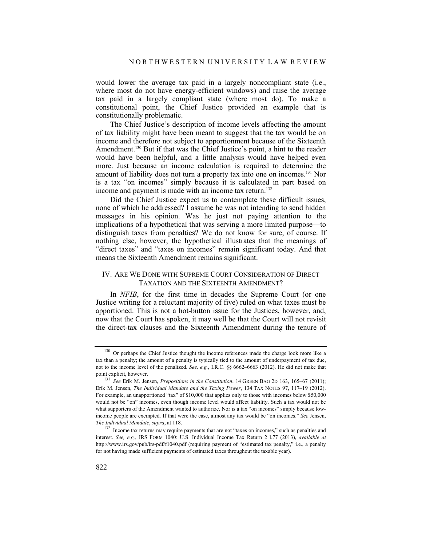would lower the average tax paid in a largely noncompliant state (i.e., where most do not have energy-efficient windows) and raise the average tax paid in a largely compliant state (where most do). To make a constitutional point, the Chief Justice provided an example that is constitutionally problematic.

The Chief Justice's description of income levels affecting the amount of tax liability might have been meant to suggest that the tax would be on income and therefore not subject to apportionment because of the Sixteenth Amendment.<sup>130</sup> But if that was the Chief Justice's point, a hint to the reader would have been helpful, and a little analysis would have helped even more. Just because an income calculation is required to determine the amount of liability does not turn a property tax into one on incomes.<sup>131</sup> Nor is a tax "on incomes" simply because it is calculated in part based on income and payment is made with an income tax return.<sup>132</sup>

Did the Chief Justice expect us to contemplate these difficult issues, none of which he addressed? I assume he was not intending to send hidden messages in his opinion. Was he just not paying attention to the implications of a hypothetical that was serving a more limited purpose—to distinguish taxes from penalties? We do not know for sure, of course. If nothing else, however, the hypothetical illustrates that the meanings of "direct taxes" and "taxes on incomes" remain significant today. And that means the Sixteenth Amendment remains significant.

## IV. ARE WE DONE WITH SUPREME COURT CONSIDERATION OF DIRECT TAXATION AND THE SIXTEENTH AMENDMENT?

In *NFIB*, for the first time in decades the Supreme Court (or one Justice writing for a reluctant majority of five) ruled on what taxes must be apportioned. This is not a hot-button issue for the Justices, however, and, now that the Court has spoken, it may well be that the Court will not revisit the direct-tax clauses and the Sixteenth Amendment during the tenure of

<sup>&</sup>lt;sup>130</sup> Or perhaps the Chief Justice thought the income references made the charge look more like a tax than a penalty; the amount of a penalty is typically tied to the amount of underpayment of tax due, not to the income level of the penalized. *See, e.g.*, I.R.C. §§ 6662–6663 (2012). He did not make that point explicit, however.

<sup>131</sup> *See* Erik M. Jensen, *Prepositions in the Constitution*, 14 GREEN BAG 2D 163, 165–67 (2011); Erik M. Jensen, *The Individual Mandate and the Taxing Power*, 134 TAX NOTES 97, 117–19 (2012). For example, an unapportioned "tax" of \$10,000 that applies only to those with incomes below \$50,000 would not be "on" incomes, even though income level would affect liability. Such a tax would not be what supporters of the Amendment wanted to authorize. Nor is a tax "on incomes" simply because lowincome people are exempted. If that were the case, almost any tax would be "on incomes." *See* Jensen,

<sup>&</sup>lt;sup>132</sup> Income tax returns may require payments that are not "taxes on incomes," such as penalties and interest. *See, e.g.*, IRS FORM 1040: U.S. Individual Income Tax Return 2 l.77 (2013), *available at*  http://www.irs.gov/pub/irs-pdf/f1040.pdf (requiring payment of "estimated tax penalty," i.e., a penalty for not having made sufficient payments of estimated taxes throughout the taxable year).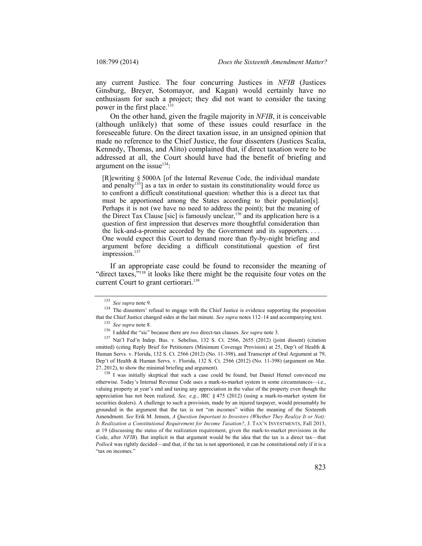any current Justice. The four concurring Justices in *NFIB* (Justices Ginsburg, Breyer, Sotomayor, and Kagan) would certainly have no enthusiasm for such a project; they did not want to consider the taxing power in the first place.<sup>133</sup>

On the other hand, given the fragile majority in *NFIB*, it is conceivable (although unlikely) that some of these issues could resurface in the foreseeable future. On the direct taxation issue, in an unsigned opinion that made no reference to the Chief Justice, the four dissenters (Justices Scalia, Kennedy, Thomas, and Alito) complained that, if direct taxation were to be addressed at all, the Court should have had the benefit of briefing and argument on the issue $134$ :

[R]ewriting § 5000A [of the Internal Revenue Code, the individual mandate and penalty<sup>135</sup>] as a tax in order to sustain its constitutionality would force us to confront a difficult constitutional question: whether this is a direct tax that must be apportioned among the States according to their population[s]. Perhaps it is not (we have no need to address the point); but the meaning of the Direct Tax Clause [sic] is famously unclear,  $136$  and its application here is a question of first impression that deserves more thoughtful consideration than the lick-and-a-promise accorded by the Government and its supporters. . . . One would expect this Court to demand more than fly-by-night briefing and argument before deciding a difficult constitutional question of first impression.<sup>137</sup>

If an appropriate case could be found to reconsider the meaning of "direct taxes, $\frac{1}{2}$ "<sup>38</sup> it looks like there might be the requisite four votes on the current Court to grant certiorari.<sup>139</sup>

<sup>138</sup> I was initially skeptical that such a case could be found, but Daniel Hemel convinced me otherwise. Today's Internal Revenue Code uses a mark-to-market system in some circumstances—i.e., valuing property at year's end and taxing any appreciation in the value of the property even though the appreciation has not been realized. *See, e.g.*, IRC § 475 (2012) (using a mark-to-market system for securities dealers). A challenge to such a provision, made by an injured taxpayer, would presumably be grounded in the argument that the tax is not "on incomes" within the meaning of the Sixteenth Amendment. *See* Erik M. Jensen, *A Question Important to Investors (Whether They Realize It or Not): Is Realization a Constitutional Requirement for Income Taxation?*, J. TAX'N INVESTMENTS, Fall 2013, at 19 (discussing the status of the realization requirement, given the mark-to-market provisions in the Code, after *NFIB*). But implicit in that argument would be the idea that the tax is a direct tax—that *Pollock* was rightly decided—and that, if the tax is not apportioned, it can be constitutional only if it is a "tax on incomes."

<sup>&</sup>lt;sup>133</sup> *See supra* note 9.<br><sup>134</sup> The dissenters' refusal to engage with the Chief Justice is evidence supporting the proposition that the Chief Justice changed sides at the last minute. See supra notes 112–14 and accompanying text.<br>
<sup>135</sup> See supra note 8.<br>
<sup>136</sup> I added the "sic" because there are *two* direct-tax clauses. See supra note 3.<br>
<sup>137</sup>

omitted) (citing Reply Brief for Petitioners (Minimum Coverage Provision) at 25, Dep't of Health & Human Servs. v. Florida, 132 S. Ct. 2566 (2012) (No. 11-398), and Transcript of Oral Argument at 79, Dep't of Health & Human Servs. v. Florida, 132 S. Ct. 2566 (2012) (No. 11-398) (argument on Mar. 27, 2012), to show the minimal briefing and argument).